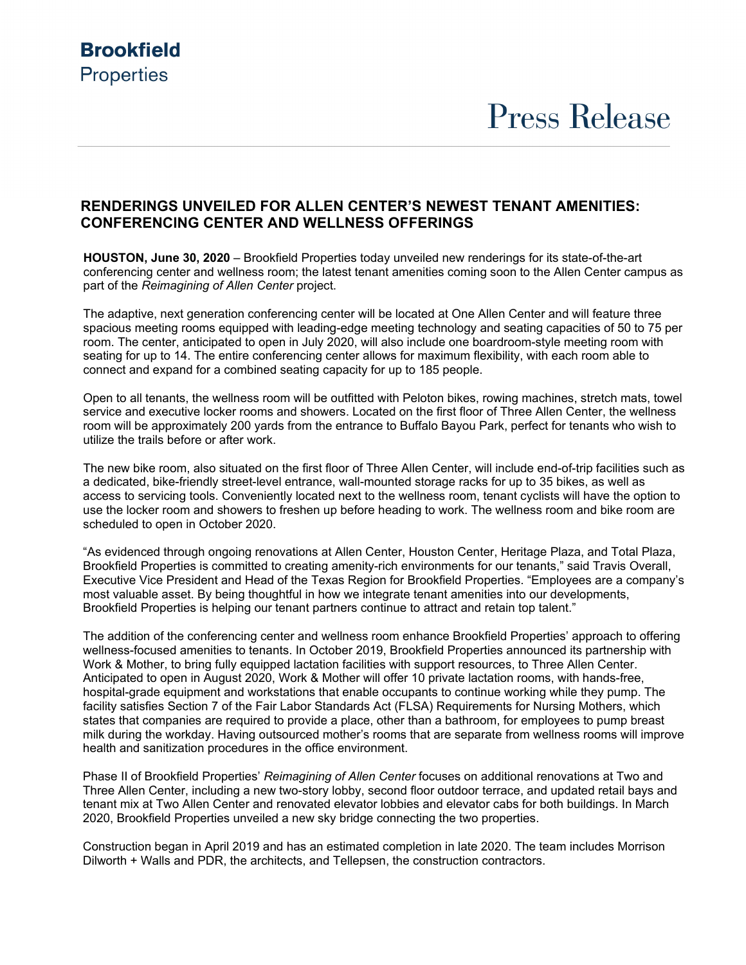### **Brookfield Properties**

# **Press Release**

### **RENDERINGS UNVEILED FOR ALLEN CENTER'S NEWEST TENANT AMENITIES: CONFERENCING CENTER AND WELLNESS OFFERINGS**

**HOUSTON, June 30, 2020** – Brookfield Properties today unveiled new renderings for its state-of-the-art conferencing center and wellness room; the latest tenant amenities coming soon to the Allen Center campus as part of the *Reimagining of Allen Center* project.

The adaptive, next generation conferencing center will be located at One Allen Center and will feature three spacious meeting rooms equipped with leading-edge meeting technology and seating capacities of 50 to 75 per room. The center, anticipated to open in July 2020, will also include one boardroom-style meeting room with seating for up to 14. The entire conferencing center allows for maximum flexibility, with each room able to connect and expand for a combined seating capacity for up to 185 people.

Open to all tenants, the wellness room will be outfitted with Peloton bikes, rowing machines, stretch mats, towel service and executive locker rooms and showers. Located on the first floor of Three Allen Center, the wellness room will be approximately 200 yards from the entrance to Buffalo Bayou Park, perfect for tenants who wish to utilize the trails before or after work.

The new bike room, also situated on the first floor of Three Allen Center, will include end-of-trip facilities such as a dedicated, bike-friendly street-level entrance, wall-mounted storage racks for up to 35 bikes, as well as access to servicing tools. Conveniently located next to the wellness room, tenant cyclists will have the option to use the locker room and showers to freshen up before heading to work. The wellness room and bike room are scheduled to open in October 2020.

"As evidenced through ongoing renovations at Allen Center, Houston Center, Heritage Plaza, and Total Plaza, Brookfield Properties is committed to creating amenity-rich environments for our tenants," said Travis Overall, Executive Vice President and Head of the Texas Region for Brookfield Properties. "Employees are a company's most valuable asset. By being thoughtful in how we integrate tenant amenities into our developments, Brookfield Properties is helping our tenant partners continue to attract and retain top talent."

The addition of the conferencing center and wellness room enhance Brookfield Properties' approach to offering wellness-focused amenities to tenants. In October 2019, Brookfield Properties announced its partnership with Work & Mother, to bring fully equipped lactation facilities with support resources, to Three Allen Center. Anticipated to open in August 2020, Work & Mother will offer 10 private lactation rooms, with hands-free, hospital-grade equipment and workstations that enable occupants to continue working while they pump. The facility satisfies Section 7 of the Fair Labor Standards Act (FLSA) Requirements for Nursing Mothers, which states that companies are required to provide a place, other than a bathroom, for employees to pump breast milk during the workday. Having outsourced mother's rooms that are separate from wellness rooms will improve health and sanitization procedures in the office environment.

Phase II of Brookfield Properties' *Reimagining of Allen Center* focuses on additional renovations at Two and Three Allen Center, including a new two-story lobby, second floor outdoor terrace, and updated retail bays and tenant mix at Two Allen Center and renovated elevator lobbies and elevator cabs for both buildings. In March 2020, Brookfield Properties unveiled a new sky bridge connecting the two properties.

Construction began in April 2019 and has an estimated completion in late 2020. The team includes Morrison Dilworth + Walls and PDR, the architects, and Tellepsen, the construction contractors.